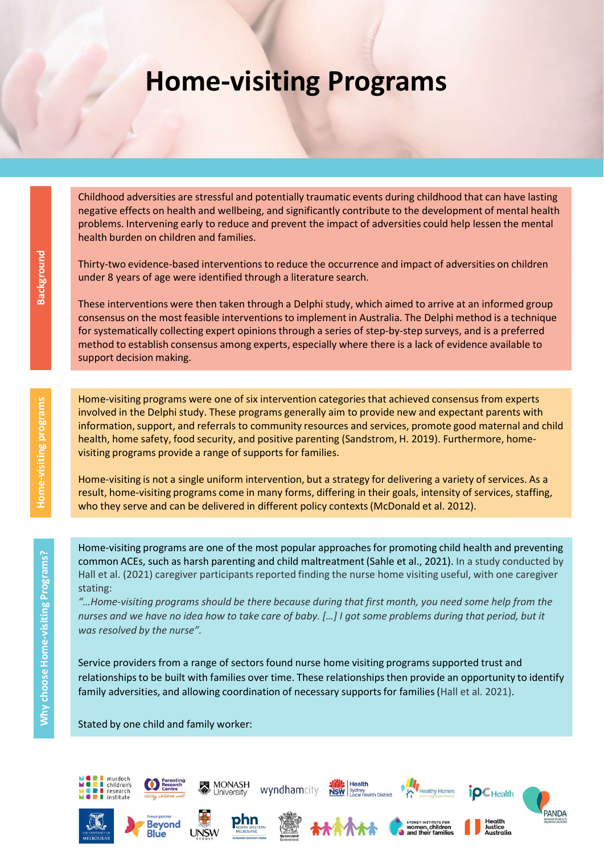## Home-visiting Programs

Childhood adversities are stressful and potentially traumatic events during childhood that can have lasting negative effects on health and wellbeing, and significantly contribute to the development of mental health problems. Intervening early to reduce and prevent the impact of adversities could help lessen the mental health burden on children and families.

Thirty-two evidence-based interventions to reduce the occurrence and impact of adversities on children under 8 years of age were identified through a literature search.

These interventions were then taken through a Delphi study, which aimed to arrive at an informed group consensus on the most feasible interventions to implement in Australia. The Delphi method is a technique for systematically collecting expert opinions through a series of step-by-step surveys, and is a preferred method to establish consensus among experts, especially where there is a lack of evidence available to support decision making. Thirty-two evidence-based interventions to reduce the occurrence and impact of adversities on comen the transition of the transition of the transition of the most feature in the transition of the most families (voleting ex

Home-visiting programs were one of six intervention categories that achieved consensus from experts Childhood adversities are stressful and potentially traumatic events during childhood that can have lasting<br>engative effects on health and wellbeing, and significantly contribute to the development of mental health<br>health information, support, and referrals to community resources and services, promote good maternal and child health, home safety, food security, and positive parenting (Sandstrom, H. 2019). Furthermore, homevisiting programs provide a range of supports for families.

Home-visiting is not a single uniform intervention, but a strategy for delivering a variety of services. As a result, home-visiting programs come in many forms, differing in their goals, intensity of services, staffing, who they serve and can be delivered in different policy contexts (McDonald et al. 2012).

Home-visiting programs are one of the most popular approaches for promoting child health and preventing common ACEs, such as harsh parenting and child maltreatment (Sahle et al., 2021). In a study conducted by Hall et al. (2021) caregiver participants reported finding the nurse home visiting useful, with one caregiver stating:

"…Home-visiting programs should be there because during that first month, you need some help from the nurses and we have no idea how to take care of baby. […] I got some problems during that period, but it was resolved by the nurse".

Service providers from a range of sectors found nurse home visiting programs supported trust and relationships to be built with families over time. These relationships then provide an opportunity to identify

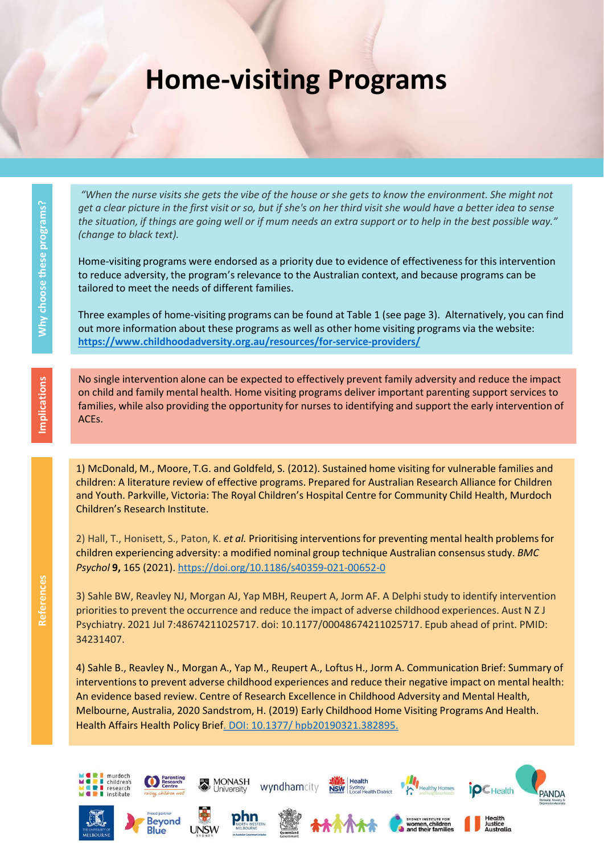## Home-visiting Programs

"When the nurse visits she gets the vibe of the house or she gets to know the environment. She might not get a clear picture in the first visit or so, but if she's on her third visit she would have a better idea to sense the situation, if things are going well or if mum needs an extra support or to help in the best possible way." (change to black text). det a clear picture in the first visit or so, but if she's on her third visit she would have a better idea to sense<br>the situation, if things are going well or if mum needs an extra support or to help in the best possible w

Home-visiting programs were endorsed as a priority due to evidence of effectiveness for this intervention to reduce adversity, the program's relevance to the Australian context, and because programs can be tailored to meet the needs of different families.

Three examples of home-visiting programs can be found at Table 1 (see page 3). Alternatively, you can find out more information about these programs as well as other home visiting programs via the website:

No single intervention alone can be expected to effectively prevent family adversity and reduce the impact on child and family mental health. Home visiting programs deliver important parenting support services to families, while also providing the opportunity for nurses to identifying and support the early intervention of No single intervention<br>on child and family me<br>families, while also pro<br>ACEs. nttps://www.cniianoodaaversity.org.au/resources/nor-service-providers/<br>
No single intervention alone can be expected to effectively prevent family adversity and reduce the impact<br>
on child and family mental health. Home vi No single intervention alone can be expected to effectively prevent family adversity and reduce the impact<br>on child and family mental health. Home visiting programs deliver important parenting support services to<br>families,

1) McDonald, M., Moore, T.G. and Goldfeld, S. (2012). Sustained home visiting for vulnerable families and children: A literature review of effective programs. Prepared for Australian Research Alliance for Children and Youth. Parkville, Victoria: The Royal Children's Hospital Centre for Community Child Health, Murdoch Children's Research Institute.

2) Hall, T., Honisett, S., Paton, K. et al. Prioritising interventions for preventing mental health problems for children experiencing adversity: a modified nominal group technique Australian consensus study. BMC Psychol 9, 165 (2021). https://doi.org/10.1186/s40359-021-00652-0

priorities to prevent the occurrence and reduce the impact of adverse childhood experiences. Aust N Z J 34231407.

ACEs.<br>
1) McDonald, M., Moore, T.G. and Goldfeld, S. (2012). Sustained home visiting for vulnerable families and<br>
children's Alterature review of effective programs. Prepared for Australian Research Altilance for Children<br> interventions to prevent adverse childhood experiences and reduce their negative impact on mental health: An evidence based review. Centre of Research Excellence in Childhood Adversity and Mental Health, Melbourne, Australia, 2020 Sandstrom, H. (2019) Early Childhood Home Visiting Programs And Health. Affairs Health Policy Brief. Dol: 10.1377/ hpb20190321.382895.<br>
Health Affairs Health Policy Brief. Dol: 10.1177/00048674211025717. Epub ahead<br>
Af Sahle B., Reavley N., Morgan A., Yap M., Reupert A., Loftus H., Jorm A. Com